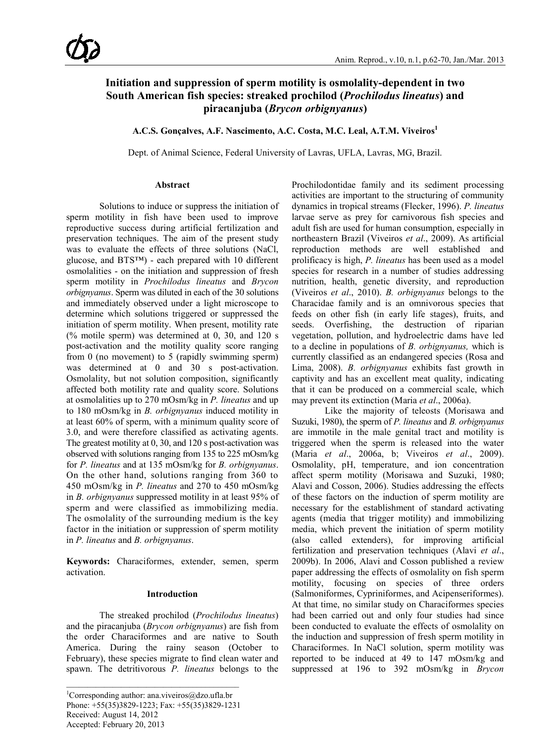# **Initiation and suppression of sperm motility is osmolality-dependent in two South American fish species: streaked prochilod (***Prochilodus lineatus***) and piracanjuba (***Brycon orbignyanus***)**

**A.C.S. Gonçalves, A.F. Nascimento, A.C. Costa, M.C. Leal, A.T.M. Viveiros1**

Dept. of Animal Science, Federal University of Lavras, UFLA, Lavras, MG, Brazil.

#### **Abstract**

Solutions to induce or suppress the initiation of sperm motility in fish have been used to improve reproductive success during artificial fertilization and preservation techniques. The aim of the present study was to evaluate the effects of three solutions (NaCl, glucose, and BTS™) - each prepared with 10 different osmolalities - on the initiation and suppression of fresh sperm motility in *Prochilodus lineatus* and *Brycon orbignyanus*. Sperm was diluted in each of the 30 solutions and immediately observed under a light microscope to determine which solutions triggered or suppressed the initiation of sperm motility. When present, motility rate (% motile sperm) was determined at 0, 30, and 120 s post-activation and the motility quality score ranging from 0 (no movement) to 5 (rapidly swimming sperm) was determined at 0 and 30 s post-activation. Osmolality, but not solution composition, significantly affected both motility rate and quality score. Solutions at osmolalities up to 270 mOsm/kg in *P. lineatus* and up to 180 mOsm/kg in *B. orbignyanus* induced motility in at least 60% of sperm, with a minimum quality score of 3.0, and were therefore classified as activating agents. The greatest motility at 0, 30, and 120 s post-activation was observed with solutions ranging from 135 to 225 mOsm/kg for *P. lineatus* and at 135 mOsm/kg for *B. orbignyanus*. On the other hand, solutions ranging from 360 to 450 mOsm/kg in *P. lineatus* and 270 to 450 mOsm/kg in *B. orbignyanus* suppressed motility in at least 95% of sperm and were classified as immobilizing media. The osmolality of the surrounding medium is the key factor in the initiation or suppression of sperm motility in *P. lineatus* and *B. orbignyanus*.

**Keywords:** Characiformes, extender, semen, sperm activation.

# **Introduction**

The streaked prochilod (*Prochilodus lineatus*) and the piracanjuba (*Brycon orbignyanus*) are fish from the order Characiformes and are native to South America. During the rainy season (October to February), these species migrate to find clean water and spawn. The detritivorous *P. lineatus* belongs to the

Prochilodontidae family and its sediment processing activities are important to the structuring of community dynamics in tropical streams (Flecker, 1996). *P. lineatus* larvae serve as prey for carnivorous fish species and adult fish are used for human consumption, especially in northeastern Brazil (Viveiros *et al*., 2009). As artificial reproduction methods are well established and prolificacy is high, *P. lineatus* has been used as a model species for research in a number of studies addressing nutrition, health, genetic diversity, and reproduction (Viveiros *et al*., 2010). *B. orbignyanus* belongs to the Characidae family and is an omnivorous species that feeds on other fish (in early life stages), fruits, and seeds. Overfishing, the destruction of riparian vegetation, pollution, and hydroelectric dams have led to a decline in populations of *B. orbignyanus,* which is currently classified as an endangered species (Rosa and Lima, 2008). *B. orbignyanus* exhibits fast growth in captivity and has an excellent meat quality, indicating that it can be produced on a commercial scale, which may prevent its extinction (Maria *et al*., 2006a).

Like the majority of teleosts (Morisawa and Suzuki, 1980), the sperm of *P. lineatus* and *B. orbignyanus* are immotile in the male genital tract and motility is triggered when the sperm is released into the water (Maria *et al*., 2006a, b; Viveiros *et al*., 2009). Osmolality, pH, temperature, and ion concentration affect sperm motility (Morisawa and Suzuki, 1980; Alavi and Cosson, 2006). Studies addressing the effects of these factors on the induction of sperm motility are necessary for the establishment of standard activating agents (media that trigger motility) and immobilizing media, which prevent the initiation of sperm motility (also called extenders), for improving artificial fertilization and preservation techniques (Alavi *et al*., 2009b). In 2006, Alavi and Cosson published a review paper addressing the effects of osmolality on fish sperm motility, focusing on species of three orders (Salmoniformes, Cypriniformes, and Acipenseriformes). At that time, no similar study on Characiformes species had been carried out and only four studies had since been conducted to evaluate the effects of osmolality on the induction and suppression of fresh sperm motility in Characiformes. In NaCl solution, sperm motility was reported to be induced at 49 to 147 mOsm/kg and suppressed at 196 to 392 mOsm/kg in *Brycon*

<sup>1</sup> Corresponding author: ana.viveiros@dzo.ufla.br Phone: +55(35)3829-1223; Fax: +55(35)3829-1231 Received: August 14, 2012 Accepted: February 20, 2013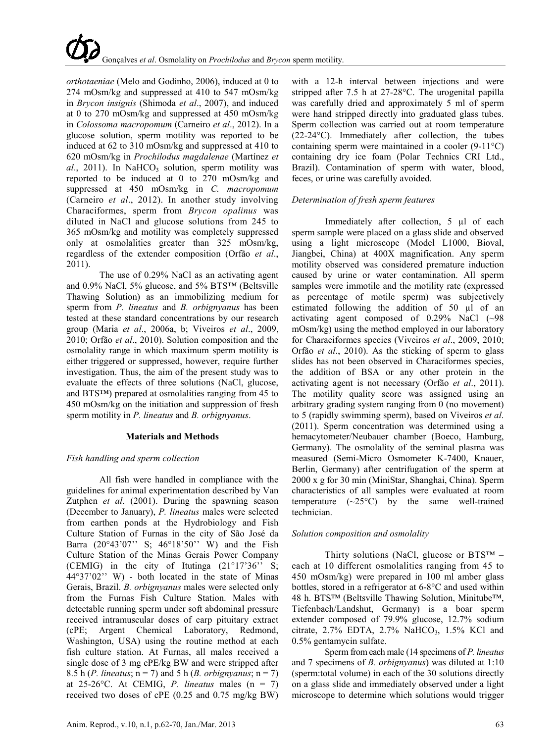*orthotaeniae* (Melo and Godinho, 2006), induced at 0 to 274 mOsm/kg and suppressed at 410 to 547 mOsm/kg in *Brycon insignis* (Shimoda *et al*., 2007), and induced at 0 to 270 mOsm/kg and suppressed at 450 mOsm/kg in *Colossoma macropomum* (Carneiro *et al*., 2012). In a glucose solution, sperm motility was reported to be induced at 62 to 310 mOsm/kg and suppressed at 410 to 620 mOsm/kg in *Prochilodus magdalenae* (Martínez *et*   $al$ , 2011). In NaHCO<sub>3</sub> solution, sperm motility was reported to be induced at 0 to 270 mOsm/kg and suppressed at 450 mOsm/kg in *C. macropomum* (Carneiro *et al*., 2012). In another study involving Characiformes, sperm from *Brycon opalinus* was diluted in NaCl and glucose solutions from 245 to 365 mOsm/kg and motility was completely suppressed only at osmolalities greater than 325 mOsm/kg, regardless of the extender composition (Orfão *et al*., 2011).

The use of 0.29% NaCl as an activating agent and 0.9% NaCl, 5% glucose, and 5% BTS™ (Beltsville Thawing Solution) as an immobilizing medium for sperm from *P. lineatus* and *B. orbignyanus* has been tested at these standard concentrations by our research group (Maria *et al*., 2006a, b; Viveiros *et al*., 2009, 2010; Orfão *et al*., 2010). Solution composition and the osmolality range in which maximum sperm motility is either triggered or suppressed, however, require further investigation. Thus, the aim of the present study was to evaluate the effects of three solutions (NaCl, glucose, and BTS™) prepared at osmolalities ranging from 45 to 450 mOsm/kg on the initiation and suppression of fresh sperm motility in *P. lineatus* and *B. orbignyanus*.

#### **Materials and Methods**

# *Fish handling and sperm collection*

All fish were handled in compliance with the guidelines for animal experimentation described by Van Zutphen *et al*. (2001). During the spawning season (December to January), *P. lineatus* males were selected from earthen ponds at the Hydrobiology and Fish Culture Station of Furnas in the city of São José da Barra (20°43'07'' S; 46°18'50'' W) and the Fish Culture Station of the Minas Gerais Power Company (CEMIG) in the city of Itutinga (21°17'36'' S; 44°37'02'' W) - both located in the state of Minas Gerais, Brazil. *B. orbignyanus* males were selected only from the Furnas Fish Culture Station. Males with detectable running sperm under soft abdominal pressure received intramuscular doses of carp pituitary extract (cPE; Argent Chemical Laboratory, Redmond, Washington, USA) using the routine method at each fish culture station. At Furnas, all males received a single dose of 3 mg cPE/kg BW and were stripped after 8.5 h (*P. lineatus*; n = 7) and 5 h (*B. orbignyanus*; n = 7) at  $25{\text -}26^{\circ}\text{C}$ . At CEMIG, *P. lineatus* males (n = 7) received two doses of cPE (0.25 and 0.75 mg/kg BW)

with a 12-h interval between injections and were stripped after 7.5 h at 27-28°C. The urogenital papilla was carefully dried and approximately 5 ml of sperm were hand stripped directly into graduated glass tubes. Sperm collection was carried out at room temperature (22-24°C). Immediately after collection, the tubes containing sperm were maintained in a cooler (9-11°C) containing dry ice foam (Polar Technics CRI Ltd., Brazil). Contamination of sperm with water, blood, feces, or urine was carefully avoided.

# *Determination of fresh sperm features*

Immediately after collection, 5 µl of each sperm sample were placed on a glass slide and observed using a light microscope (Model L1000, Bioval, Jiangbei, China) at 400X magnification. Any sperm motility observed was considered premature induction caused by urine or water contamination. All sperm samples were immotile and the motility rate (expressed as percentage of motile sperm) was subjectively estimated following the addition of 50 µl of an activating agent composed of 0.29% NaCl (~98 mOsm/kg) using the method employed in our laboratory for Characiformes species (Viveiros *et al*., 2009, 2010; Orfão *et al*., 2010). As the sticking of sperm to glass slides has not been observed in Characiformes species, the addition of BSA or any other protein in the activating agent is not necessary (Orfão *et al*., 2011). The motility quality score was assigned using an arbitrary grading system ranging from 0 (no movement) to 5 (rapidly swimming sperm), based on Viveiros *et al*. (2011). Sperm concentration was determined using a hemacytometer/Neubauer chamber (Boeco, Hamburg, Germany). The osmolality of the seminal plasma was measured (Semi-Micro Osmometer K-7400, Knauer, Berlin, Germany) after centrifugation of the sperm at 2000 x g for 30 min (MiniStar, Shanghai, China). Sperm characteristics of all samples were evaluated at room temperature  $(\sim 25^{\circ}C)$  by the same well-trained technician.

# *Solution composition and osmolality*

Thirty solutions (NaCl, glucose or  $BTS^{TM}$  – each at 10 different osmolalities ranging from 45 to 450 mOsm/kg) were prepared in 100 ml amber glass bottles, stored in a refrigerator at 6-8°C and used within 48 h. BTS™ (Beltsville Thawing Solution, Minitube™, Tiefenbach/Landshut, Germany) is a boar sperm extender composed of 79.9% glucose, 12.7% sodium citrate,  $2.7\%$  EDTA,  $2.7\%$  NaHCO<sub>3</sub>,  $1.5\%$  KCl and 0.5% gentamycin sulfate.

Sperm from each male (14 specimens of *P. lineatus* and 7 specimens of *B. orbignyanus*) was diluted at 1:10 (sperm:total volume) in each of the 30 solutions directly on a glass slide and immediately observed under a light microscope to determine which solutions would trigger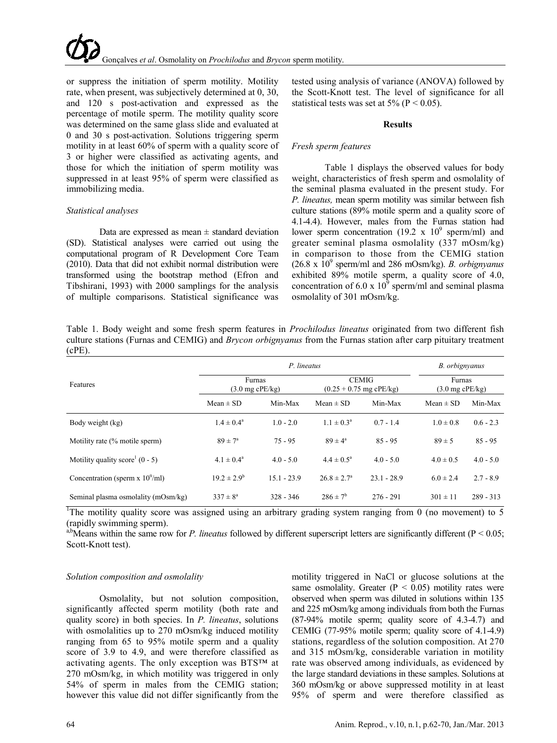or suppress the initiation of sperm motility. Motility rate, when present, was subjectively determined at 0, 30, and 120 s post-activation and expressed as the percentage of motile sperm. The motility quality score was determined on the same glass slide and evaluated at 0 and 30 s post-activation. Solutions triggering sperm motility in at least 60% of sperm with a quality score of 3 or higher were classified as activating agents, and those for which the initiation of sperm motility was suppressed in at least 95% of sperm were classified as immobilizing media.

### *Statistical analyses*

Data are expressed as mean  $\pm$  standard deviation (SD). Statistical analyses were carried out using the computational program of R Development Core Team (2010). Data that did not exhibit normal distribution were transformed using the bootstrap method (Efron and Tibshirani, 1993) with 2000 samplings for the analysis of multiple comparisons. Statistical significance was

tested using analysis of variance (ANOVA) followed by the Scott-Knott test. The level of significance for all statistical tests was set at  $5\%$  (P < 0.05).

#### **Results**

## *Fresh sperm features*

Table 1 displays the observed values for body weight, characteristics of fresh sperm and osmolality of the seminal plasma evaluated in the present study. For *P. lineatus,* mean sperm motility was similar between fish culture stations (89% motile sperm and a quality score of 4.1-4.4). However, males from the Furnas station had lower sperm concentration (19.2 x  $10^9$  sperm/ml) and greater seminal plasma osmolality (337 mOsm/kg) in comparison to those from the CEMIG station  $(26.8 \times 10^9 \text{ sperm/ml}$  and 286 mOsm/kg). *B. orbignyanus* exhibited 89% motile sperm, a quality score of 4.0, concentration of 6.0 x  $10^9$  sperm/ml and seminal plasma osmolality of 301 mOsm/kg.

Table 1. Body weight and some fresh sperm features in *Prochilodus lineatus* originated from two different fish culture stations (Furnas and CEMIG) and *Brycon orbignyanus* from the Furnas station after carp pituitary treatment (cPE).

|                                     |                                     | B. orbignyanus |                        |                                           |                                     |             |  |
|-------------------------------------|-------------------------------------|----------------|------------------------|-------------------------------------------|-------------------------------------|-------------|--|
| Features                            | Furnas<br>$(3.0 \text{ mg cPE/kg})$ |                |                        | <b>CEMIG</b><br>$(0.25 + 0.75$ mg cPE/kg) | Furnas<br>$(3.0 \text{ mg cPE/kg})$ |             |  |
|                                     | $Mean \pm SD$                       | Min-Max        | $Mean \pm SD$          | Min-Max                                   | $Mean \pm SD$                       | Min-Max     |  |
| Body weight (kg)                    | $1.4 \pm 0.4^{\circ}$               | $1.0 - 2.0$    | $1.1 \pm 0.3^{\circ}$  | $0.7 - 1.4$                               | $1.0 \pm 0.8$                       | $0.6 - 2.3$ |  |
| Motility rate (% motile sperm)      | $89 \pm 7^{\circ}$                  | $75 - 95$      | $89 \pm 4^{\circ}$     | $85 - 95$                                 | $89 \pm 5$                          | $85 - 95$   |  |
| Motility quality score $(0 - 5)$    | $4.1 \pm 0.4^{\circ}$               | $4.0 - 5.0$    | $4.4 \pm 0.5^{\circ}$  | $4.0 - 5.0$                               | $4.0 \pm 0.5$                       | $4.0 - 5.0$ |  |
| Concentration (sperm $x 10^9$ /ml)  | $19.2 \pm 2.9^b$                    | $15.1 - 23.9$  | $26.8 \pm 2.7^{\circ}$ | $23.1 - 28.9$                             | $6.0 \pm 2.4$                       | $2.7 - 8.9$ |  |
| Seminal plasma osmolality (mOsm/kg) | $337 \pm 8^{\circ}$                 | $328 - 346$    | $286 \pm 7^{\rm b}$    | $276 - 291$                               | $301 \pm 11$                        | $289 - 313$ |  |

<sup>1</sup>The motility quality score was assigned using an arbitrary grading system ranging from 0 (no movement) to 5 (rapidly swimming sperm).

<sup>a,b</sup>Means within the same row for *P. lineatus* followed by different superscript letters are significantly different ( $P < 0.05$ ; Scott-Knott test).

# *Solution composition and osmolality*

Osmolality, but not solution composition, significantly affected sperm motility (both rate and quality score) in both species. In *P. lineatus*, solutions with osmolalities up to 270 mOsm/kg induced motility ranging from 65 to 95% motile sperm and a quality score of 3.9 to 4.9, and were therefore classified as activating agents. The only exception was BTS™ at 270 mOsm/kg, in which motility was triggered in only 54% of sperm in males from the CEMIG station; however this value did not differ significantly from the

motility triggered in NaCl or glucose solutions at the same osmolality. Greater  $(P < 0.05)$  motility rates were observed when sperm was diluted in solutions within 135 and 225 mOsm/kg among individuals from both the Furnas (87-94% motile sperm; quality score of 4.3-4.7) and CEMIG (77-95% motile sperm; quality score of 4.1-4.9) stations, regardless of the solution composition. At 270 and 315 mOsm/kg, considerable variation in motility rate was observed among individuals, as evidenced by the large standard deviations in these samples. Solutions at 360 mOsm/kg or above suppressed motility in at least 95% of sperm and were therefore classified as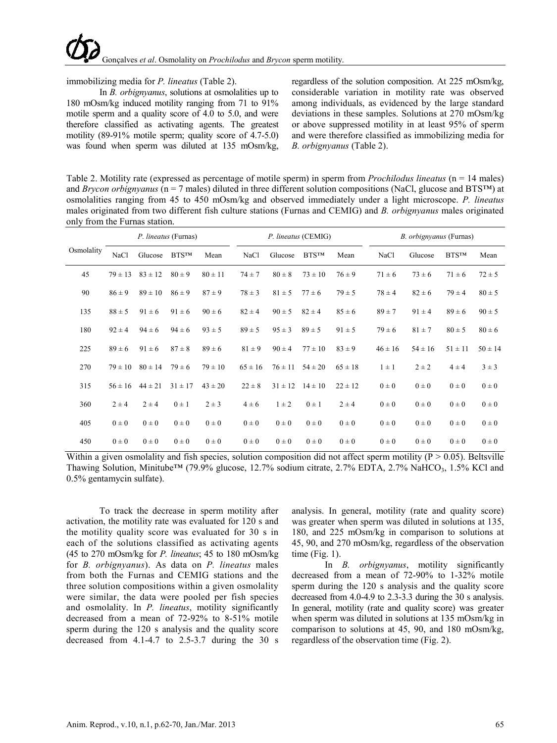

immobilizing media for *P. lineatus* (Table 2).

In *B. orbignyanus*, solutions at osmolalities up to 180 mOsm/kg induced motility ranging from 71 to 91% motile sperm and a quality score of 4.0 to 5.0, and were therefore classified as activating agents. The greatest motility (89-91% motile sperm; quality score of 4.7-5.0) was found when sperm was diluted at 135 mOsm/kg,

regardless of the solution composition. At 225 mOsm/kg, considerable variation in motility rate was observed among individuals, as evidenced by the large standard deviations in these samples. Solutions at 270 mOsm/kg or above suppressed motility in at least 95% of sperm and were therefore classified as immobilizing media for *B. orbignyanus* (Table 2).

Table 2. Motility rate (expressed as percentage of motile sperm) in sperm from *Prochilodus lineatus* (n = 14 males) and *Brycon orbignyanus* (n = 7 males) diluted in three different solution compositions (NaCl, glucose and BTS™) at osmolalities ranging from 45 to 450 mOsm/kg and observed immediately under a light microscope. *P. lineatus* males originated from two different fish culture stations (Furnas and CEMIG) and *B. orbignyanus* males originated only from the Furnas station.

|            | P. lineatus (Furnas) |             |              | P. lineatus (CEMIG) |             |             |              | <i>B. orbignyanus</i> (Furnas) |             |             |              |             |
|------------|----------------------|-------------|--------------|---------------------|-------------|-------------|--------------|--------------------------------|-------------|-------------|--------------|-------------|
| Osmolality | NaCl                 | Glucose     | <b>BTSTM</b> | Mean                | NaCl        | Glucose     | <b>BTSTM</b> | Mean                           | NaCl        | Glucose     | <b>BTSTM</b> | Mean        |
| 45         | $79 \pm 13$          | $83 \pm 12$ | $80 \pm 9$   | $80 \pm 11$         | $74 \pm 7$  | $80 \pm 8$  | $73 \pm 10$  | $76 \pm 9$                     | $71 \pm 6$  | $73 \pm 6$  | $71 \pm 6$   | $72 \pm 5$  |
| 90         | $86 \pm 9$           | $89 \pm 10$ | $86 \pm 9$   | $87 \pm 9$          | $78 \pm 3$  | $81 \pm 5$  | $77 \pm 6$   | $79 \pm 5$                     | $78 \pm 4$  | $82 \pm 6$  | $79 \pm 4$   | $80 \pm 5$  |
| 135        | $88 \pm 5$           | $91 \pm 6$  | $91 \pm 6$   | $90 \pm 6$          | $82 \pm 4$  | $90 \pm 5$  | $82 \pm 4$   | $85 \pm 6$                     | $89 \pm 7$  | $91 \pm 4$  | $89 \pm 6$   | $90 \pm 5$  |
| 180        | $92 \pm 4$           | $94 \pm 6$  | $94 \pm 6$   | $93 \pm 5$          | $89 \pm 5$  | $95 \pm 3$  | $89 \pm 5$   | $91 \pm 5$                     | $79 \pm 6$  | $81 \pm 7$  | $80 \pm 5$   | $80 \pm 6$  |
| 225        | $89 \pm 6$           | $91 \pm 6$  | $87 \pm 8$   | $89 \pm 6$          | $81 \pm 9$  | $90 \pm 4$  | $77 \pm 10$  | $83 \pm 9$                     | $46 \pm 16$ | $54 \pm 16$ | $51 \pm 11$  | $50 \pm 14$ |
| 270        | $79 \pm 10$          | $80 \pm 14$ | $79 \pm 6$   | $79 \pm 10$         | $65 \pm 16$ | $76 \pm 11$ | $54 \pm 20$  | $65 \pm 18$                    | $1 \pm 1$   | $2 \pm 2$   | $4 \pm 4$    | $3 \pm 3$   |
| 315        | $56 \pm 16$          | $44 \pm 21$ | $31 \pm 17$  | $43 \pm 20$         | $22 \pm 8$  | $31 \pm 12$ | $14 \pm 10$  | $22 \pm 12$                    | $0\pm 0$    | $0\pm 0$    | $0\pm 0$     | $0\pm 0$    |
| 360        | $2 \pm 4$            | $2 \pm 4$   | $0 \pm 1$    | $2 \pm 3$           | $4 \pm 6$   | $1 \pm 2$   | $0 \pm 1$    | $2 \pm 4$                      | $0\pm 0$    | $0\pm 0$    | $0\pm 0$     | $0\pm 0$    |
| 405        | $0\pm 0$             | $0\pm 0$    | $0\pm 0$     | $0\pm 0$            | $0\pm 0$    | $0\pm 0$    | $0\pm 0$     | $0\pm 0$                       | $0\pm 0$    | $0\pm 0$    | $0\pm 0$     | $0\pm 0$    |
| 450        | $0\pm 0$             | $0\pm 0$    | $0\pm 0$     | $0\pm 0$            | $0\pm 0$    | $0\pm 0$    | $0\pm 0$     | $0\pm 0$                       | $0\pm 0$    | $0\pm 0$    | $0\pm 0$     | $0\pm 0$    |

Within a given osmolality and fish species, solution composition did not affect sperm motility ( $P > 0.05$ ). Beltsville Thawing Solution, Minitube<sup>™</sup> (79.9% glucose, 12.7% sodium citrate, 2.7% EDTA, 2.7% NaHCO<sub>3</sub>, 1.5% KCl and 0.5% gentamycin sulfate).

To track the decrease in sperm motility after activation, the motility rate was evaluated for 120 s and the motility quality score was evaluated for 30 s in each of the solutions classified as activating agents (45 to 270 mOsm/kg for *P. lineatus*; 45 to 180 mOsm/kg for *B. orbignyanus*). As data on *P. lineatus* males from both the Furnas and CEMIG stations and the three solution compositions within a given osmolality were similar, the data were pooled per fish species and osmolality. In *P. lineatus*, motility significantly decreased from a mean of 72-92% to 8-51% motile sperm during the 120 s analysis and the quality score decreased from 4.1-4.7 to 2.5-3.7 during the 30 s

analysis. In general, motility (rate and quality score) was greater when sperm was diluted in solutions at 135, 180, and 225 mOsm/kg in comparison to solutions at 45, 90, and 270 mOsm/kg, regardless of the observation time (Fig. 1).

In *B. orbignyanus*, motility significantly decreased from a mean of 72-90% to 1-32% motile sperm during the 120 s analysis and the quality score decreased from 4.0-4.9 to 2.3-3.3 during the 30 s analysis. In general, motility (rate and quality score) was greater when sperm was diluted in solutions at 135 mOsm/kg in comparison to solutions at 45, 90, and 180 mOsm/kg, regardless of the observation time (Fig. 2).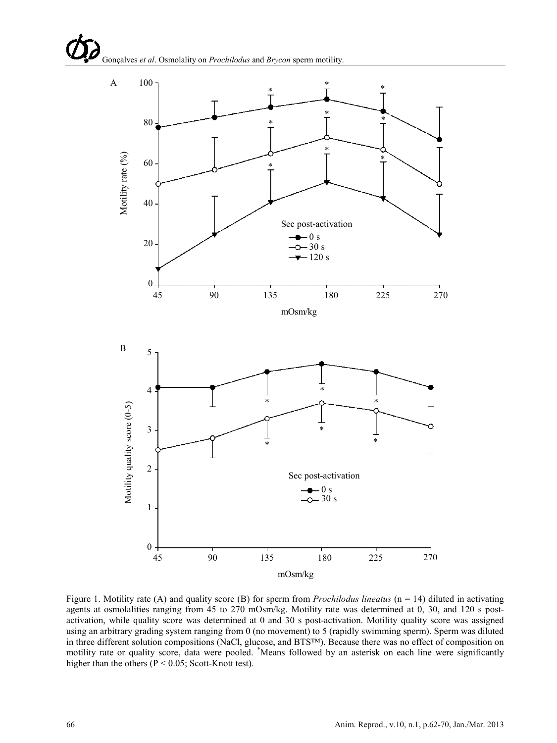

Figure 1. Motility rate (A) and quality score (B) for sperm from *Prochilodus lineatus* (n = 14) diluted in activating agents at osmolalities ranging from 45 to 270 mOsm/kg. Motility rate was determined at 0, 30, and 120 s postactivation, while quality score was determined at 0 and 30 s post-activation. Motility quality score was assigned using an arbitrary grading system ranging from 0 (no movement) to 5 (rapidly swimming sperm). Sperm was diluted in three different solution compositions (NaCl, glucose, and BTS™). Because there was no effect of composition on motility rate or quality score, data were pooled. \* Means followed by an asterisk on each line were significantly higher than the others ( $P < 0.05$ ; Scott-Knott test).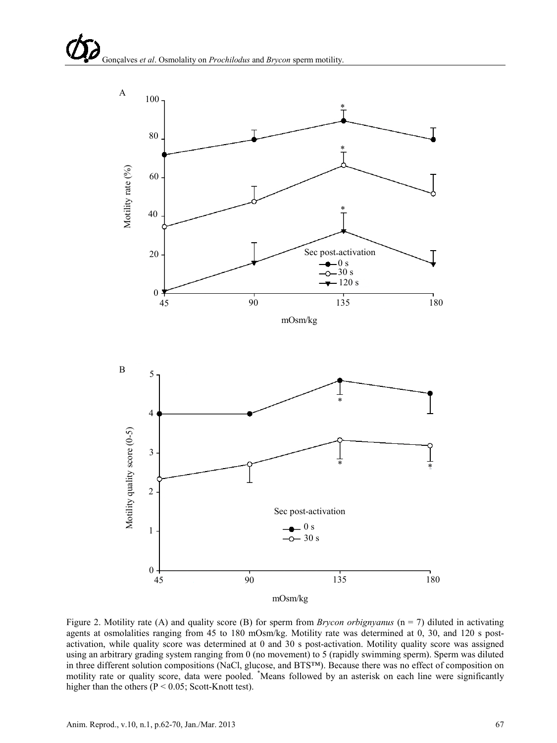

Figure 2. Motility rate (A) and quality score (B) for sperm from *Brycon orbignyanus* (n = 7) diluted in activating agents at osmolalities ranging from 45 to 180 mOsm/kg. Motility rate was determined at 0, 30, and 120 s postactivation, while quality score was determined at 0 and 30 s post-activation. Motility quality score was assigned using an arbitrary grading system ranging from 0 (no movement) to 5 (rapidly swimming sperm). Sperm was diluted in three different solution compositions (NaCl, glucose, and BTS™). Because there was no effect of composition on motility rate or quality score, data were pooled. \* Means followed by an asterisk on each line were significantly higher than the others ( $P < 0.05$ ; Scott-Knott test).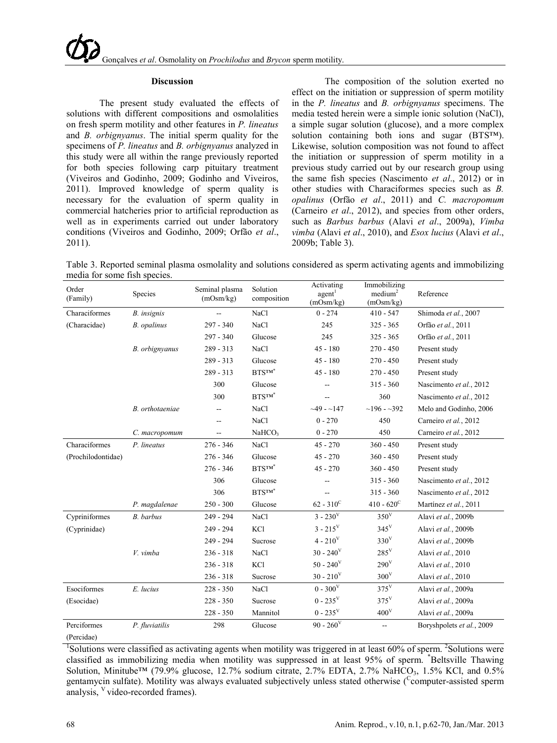#### **Discussion**

The present study evaluated the effects of solutions with different compositions and osmolalities on fresh sperm motility and other features in *P. lineatus* and *B. orbignyanus*. The initial sperm quality for the specimens of *P. lineatus* and *B. orbignyanus* analyzed in this study were all within the range previously reported for both species following carp pituitary treatment (Viveiros and Godinho, 2009; Godinho and Viveiros, 2011). Improved knowledge of sperm quality is necessary for the evaluation of sperm quality in commercial hatcheries prior to artificial reproduction as well as in experiments carried out under laboratory conditions (Viveiros and Godinho, 2009; Orfão *et al*., 2011).

The composition of the solution exerted no effect on the initiation or suppression of sperm motility in the *P. lineatus* and *B. orbignyanus* specimens. The media tested herein were a simple ionic solution (NaCl), a simple sugar solution (glucose), and a more complex solution containing both ions and sugar (BTS™). Likewise, solution composition was not found to affect the initiation or suppression of sperm motility in a previous study carried out by our research group using the same fish species (Nascimento *et al*., 2012) or in other studies with Characiformes species such as *B. opalinus* (Orfão *et al*., 2011) and *C. macropomum* (Carneiro *et al*., 2012), and species from other orders, such as *Barbus barbus* (Alavi *et al*., 2009a), *Vimba vimba* (Alavi *et al*., 2010), and *Esox lucius* (Alavi *et al*., 2009b; Table 3).

Table 3. Reported seminal plasma osmolality and solutions considered as sperm activating agents and immobilizing media for some fish species.

| Order<br>(Family)  | Species            | Seminal plasma<br>(mOsm/kg) | Solution<br>composition    | Activating<br>agent <sup>1</sup><br>(mOsm/kg) | Immobilizing<br>median <sup>2</sup><br>(mOsm/kg) | Reference                 |  |
|--------------------|--------------------|-----------------------------|----------------------------|-----------------------------------------------|--------------------------------------------------|---------------------------|--|
| Characiformes      | <b>B.</b> insignis |                             | <b>NaCl</b>                | $0 - 274$                                     | $410 - 547$                                      | Shimoda et al., 2007      |  |
| (Characidae)       | B. opalinus        | $297 - 340$                 | <b>NaCl</b>                | 245                                           | $325 - 365$                                      | Orfão et al., 2011        |  |
|                    |                    | 297 - 340                   | Glucose                    | 245                                           | $325 - 365$                                      | Orfão et al., 2011        |  |
|                    | B. orbignyanus     | $289 - 313$                 | <b>NaCl</b>                | $45 - 180$                                    | $270 - 450$                                      | Present study             |  |
|                    |                    | $289 - 313$                 | Glucose                    | $45 - 180$                                    | $270 - 450$                                      | Present study             |  |
|                    |                    | $289 - 313$                 | BTSTM*                     | $45 - 180$                                    | $270 - 450$                                      | Present study             |  |
|                    |                    | 300                         | Glucose                    |                                               | $315 - 360$                                      | Nascimento et al., 2012   |  |
|                    |                    | 300                         | $\text{BTS}^{\text{TM}^*}$ | $\overline{a}$                                | 360                                              | Nascimento et al., 2012   |  |
|                    | B. orthotaeniae    |                             | NaCl                       | $-49 - 147$                                   | $~196 - 392$                                     | Melo and Godinho, 2006    |  |
|                    |                    |                             | NaCl                       | $0 - 270$                                     | 450                                              | Carneiro et al., 2012     |  |
|                    | C. macropomum      | --                          | NaHCO <sub>3</sub>         | $0 - 270$                                     | 450                                              | Carneiro et al., 2012     |  |
| Characiformes      | P. lineatus        | $276 - 346$                 | <b>NaCl</b>                | $45 - 270$                                    | $360 - 450$                                      | Present study             |  |
| (Prochilodontidae) |                    | $276 - 346$                 | Glucose                    | $45 - 270$                                    | $360 - 450$                                      | Present study             |  |
|                    |                    | $276 - 346$                 | $BTS^{TM^*}$               | $45 - 270$                                    | $360 - 450$                                      | Present study             |  |
|                    |                    | 306                         | Glucose                    | --                                            | $315 - 360$                                      | Nascimento et al., 2012   |  |
|                    |                    | 306                         | $\text{BTS}^{\text{TM}^*}$ | --                                            | $315 - 360$                                      | Nascimento et al., 2012   |  |
|                    | P. magdalenae      | $250 - 300$                 | Glucose                    | $62 - 310^{\circ}$                            | $410 - 620^{\circ}$                              | Martínez et al., 2011     |  |
| Cypriniformes      | B. barbus          | $249 - 294$                 | <b>NaCl</b>                | $3 - 230^{\rm V}$                             | 350 <sup>V</sup>                                 | Alavi et al., 2009b       |  |
| (Cyprinidae)       |                    | 249 - 294                   | KCl                        | $3 - 215^V$                                   | $345^V$                                          | Alavi et al., 2009b       |  |
|                    |                    | 249 - 294                   | Sucrose                    | $4 - 210^V$                                   | 330 <sup>V</sup>                                 | Alavi et al., 2009b       |  |
|                    | V. vimba           | $236 - 318$                 | NaCl                       | $30 - 240^{\circ}$                            | $285^{\rm V}$                                    | Alavi et al., 2010        |  |
|                    |                    | $236 - 318$                 | KCl                        | $50 - 240^{\circ}$                            | $290^V$                                          | Alavi et al., 2010        |  |
|                    |                    | $236 - 318$                 | Sucrose                    | $30 - 210^V$                                  | 300 <sup>V</sup>                                 | Alavi et al., 2010        |  |
| Esociformes        | E. lucius          | $228 - 350$                 | NaCl                       | $0 - 300^{\rm V}$                             | $375^V$                                          | Alavi et al., 2009a       |  |
| (Esocidae)         |                    | $228 - 350$                 | Sucrose                    | $0 - 235^V$                                   | $375^V$                                          | Alavi et al., 2009a       |  |
|                    |                    | $228 - 350$                 | Mannitol                   | $0$ - $235^{\rm V}$                           | 400 <sup>V</sup>                                 | Alavi et al., 2009a       |  |
| Perciformes        | P. fluviatilis     | 298                         | Glucose                    | $90 - 260^{\circ}$                            | $\overline{a}$                                   | Boryshpolets et al., 2009 |  |
| (Percidae)         |                    |                             |                            |                                               |                                                  |                           |  |

<sup>1</sup>Solutions were classified as activating agents when motility was triggered in at least 60% of sperm. <sup>2</sup>Solutions were classified as immobilizing media when motility was suppressed in at least 95% of sperm. \* Beltsville Thawing Solution, Minitube<sup>™</sup> (79.9% glucose, 12.7% sodium citrate, 2.7% EDTA, 2.7% NaHCO<sub>3</sub>, 1.5% KCl, and 0.5% gentamycin sulfate). Motility was always evaluated subjectively unless stated otherwise (Computer-assisted sperm analysis, <sup>V</sup> video-recorded frames).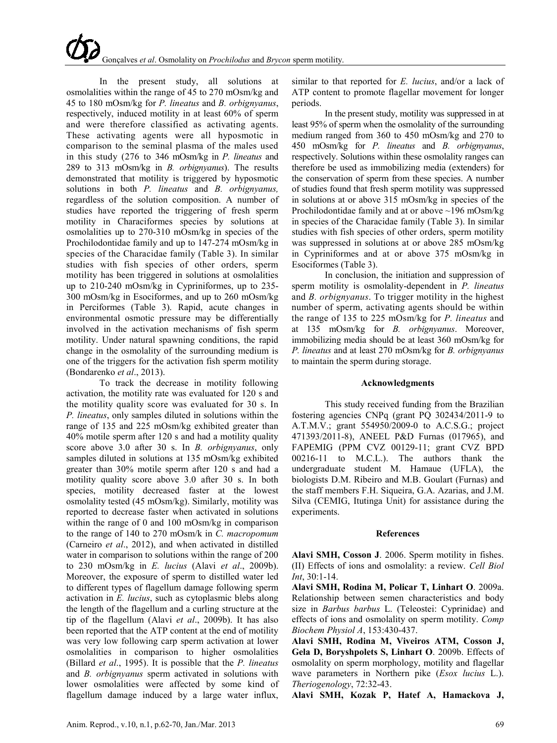In the present study, all solutions at osmolalities within the range of 45 to 270 mOsm/kg and 45 to 180 mOsm/kg for *P. lineatus* and *B. orbignyanus*, respectively, induced motility in at least 60% of sperm and were therefore classified as activating agents. These activating agents were all hyposmotic in comparison to the seminal plasma of the males used in this study (276 to 346 mOsm/kg in *P. lineatus* and 289 to 313 mOsm/kg in *B. orbignyanus*). The results demonstrated that motility is triggered by hyposmotic solutions in both *P. lineatus* and *B. orbignyanus,* regardless of the solution composition. A number of studies have reported the triggering of fresh sperm motility in Characiformes species by solutions at osmolalities up to 270-310 mOsm/kg in species of the Prochilodontidae family and up to 147-274 mOsm/kg in species of the Characidae family (Table 3). In similar studies with fish species of other orders, sperm motility has been triggered in solutions at osmolalities up to 210-240 mOsm/kg in Cypriniformes, up to 235- 300 mOsm/kg in Esociformes, and up to 260 mOsm/kg in Perciformes (Table 3). Rapid, acute changes in environmental osmotic pressure may be differentially involved in the activation mechanisms of fish sperm motility. Under natural spawning conditions, the rapid change in the osmolality of the surrounding medium is one of the triggers for the activation fish sperm motility (Bondarenko *et al*., 2013).

To track the decrease in motility following activation, the motility rate was evaluated for 120 s and the motility quality score was evaluated for 30 s. In *P. lineatus*, only samples diluted in solutions within the range of 135 and 225 mOsm/kg exhibited greater than 40% motile sperm after 120 s and had a motility quality score above 3.0 after 30 s. In *B. orbignyanus*, only samples diluted in solutions at 135 mOsm/kg exhibited greater than 30% motile sperm after 120 s and had a motility quality score above 3.0 after 30 s. In both species, motility decreased faster at the lowest osmolality tested (45 mOsm/kg). Similarly, motility was reported to decrease faster when activated in solutions within the range of 0 and 100 mOsm/kg in comparison to the range of 140 to 270 mOsm/k in *C. macropomum* (Carneiro *et al*., 2012), and when activated in distilled water in comparison to solutions within the range of 200 to 230 mOsm/kg in *E. lucius* (Alavi *et al*., 2009b). Moreover, the exposure of sperm to distilled water led to different types of flagellum damage following sperm activation in *E. lucius*, such as cytoplasmic blebs along the length of the flagellum and a curling structure at the tip of the flagellum (Alavi *et al*., 2009b). It has also been reported that the ATP content at the end of motility was very low following carp sperm activation at lower osmolalities in comparison to higher osmolalities (Billard *et al*., 1995). It is possible that the *P. lineatus* and *B. orbignyanus* sperm activated in solutions with lower osmolalities were affected by some kind of flagellum damage induced by a large water influx,

In the present study, motility was suppressed in at least 95% of sperm when the osmolality of the surrounding medium ranged from 360 to 450 mOsm/kg and 270 to 450 mOsm/kg for *P. lineatus* and *B. orbignyanus*, respectively. Solutions within these osmolality ranges can therefore be used as immobilizing media (extenders) for the conservation of sperm from these species. A number of studies found that fresh sperm motility was suppressed in solutions at or above 315 mOsm/kg in species of the Prochilodontidae family and at or above ~196 mOsm/kg in species of the Characidae family (Table 3). In similar studies with fish species of other orders, sperm motility was suppressed in solutions at or above 285 mOsm/kg in Cypriniformes and at or above 375 mOsm/kg in Esociformes (Table 3).

In conclusion, the initiation and suppression of sperm motility is osmolality-dependent in *P. lineatus* and *B. orbignyanus*. To trigger motility in the highest number of sperm, activating agents should be within the range of 135 to 225 mOsm/kg for *P. lineatus* and at 135 mOsm/kg for *B. orbignyanus*. Moreover, immobilizing media should be at least 360 mOsm/kg for *P. lineatus* and at least 270 mOsm/kg for *B. orbignyanus* to maintain the sperm during storage.

# **Acknowledgments**

This study received funding from the Brazilian fostering agencies CNPq (grant PQ 302434/2011-9 to A.T.M.V.; grant 554950/2009-0 to A.C.S.G.; project 471393/2011-8), ANEEL P&D Furnas (017965), and FAPEMIG (PPM CVZ 00129-11; grant CVZ BPD 00216-11 to M.C.L.). The authors thank the undergraduate student M. Hamaue (UFLA), the biologists D.M. Ribeiro and M.B. Goulart (Furnas) and the staff members F.H. Siqueira, G.A. Azarias, and J.M. Silva (CEMIG, Itutinga Unit) for assistance during the experiments.

# **References**

**Alavi SMH, Cosson J**. 2006. Sperm motility in fishes. (II) Effects of ions and osmolality: a review. *Cell Biol Int*, 30:1-14.

**Alavi SMH, Rodina M, Policar T, Linhart O**. 2009a. Relationship between semen characteristics and body size in *Barbus barbus* L. (Teleostei: Cyprinidae) and effects of ions and osmolality on sperm motility. *Comp Biochem Physiol A*, 153:430-437.

**Alavi SMH, Rodina M, Viveiros ATM, Cosson J, Gela D, Boryshpolets S, Linhart O**. 2009b. Effects of osmolality on sperm morphology, motility and flagellar wave parameters in Northern pike (*Esox lucius* L.). *Theriogenology*, 72:32-43.

**Alavi SMH, Kozak P, Hatef A, Hamackova J,**